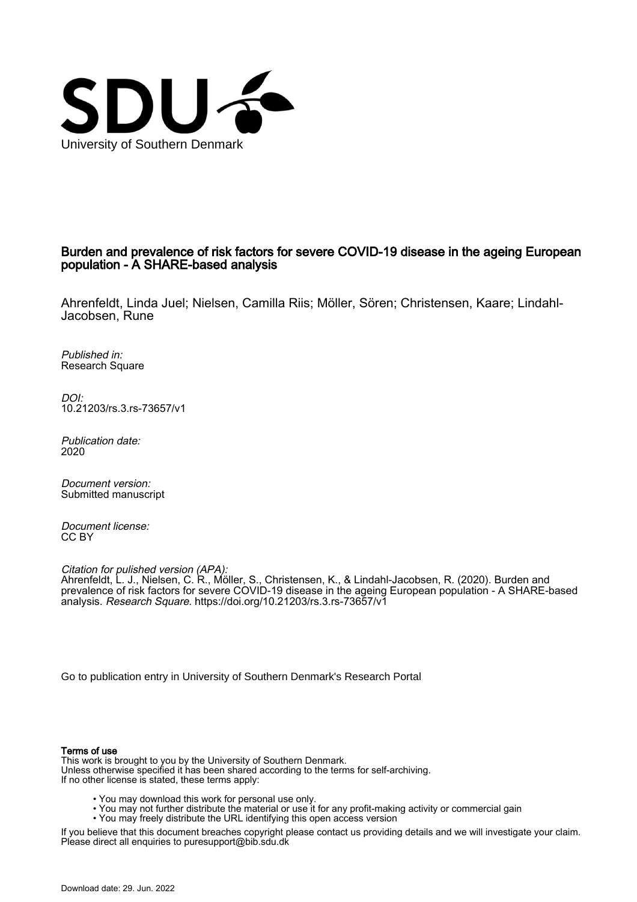

### Burden and prevalence of risk factors for severe COVID-19 disease in the ageing European population - A SHARE-based analysis

Ahrenfeldt, Linda Juel; Nielsen, Camilla Riis; Möller, Sören; Christensen, Kaare; Lindahl-Jacobsen, Rune

Published in: Research Square

DOI: [10.21203/rs.3.rs-73657/v1](https://doi.org/10.21203/rs.3.rs-73657/v1)

Publication date: 2020

Document version: Submitted manuscript

Document license: CC BY

Citation for pulished version (APA): Ahrenfeldt, L. J., Nielsen, C. R., Möller, S., Christensen, K., & Lindahl-Jacobsen, R. (2020). Burden and prevalence of risk factors for severe COVID-19 disease in the ageing European population - A SHARE-based analysis. Research Square. <https://doi.org/10.21203/rs.3.rs-73657/v1>

[Go to publication entry in University of Southern Denmark's Research Portal](https://portal.findresearcher.sdu.dk/en/publications/f6d12eb4-ef27-4021-960a-cdb0813e6233)

#### Terms of use

This work is brought to you by the University of Southern Denmark. Unless otherwise specified it has been shared according to the terms for self-archiving. If no other license is stated, these terms apply:

- You may download this work for personal use only.
- You may not further distribute the material or use it for any profit-making activity or commercial gain
	- You may freely distribute the URL identifying this open access version

If you believe that this document breaches copyright please contact us providing details and we will investigate your claim. Please direct all enquiries to puresupport@bib.sdu.dk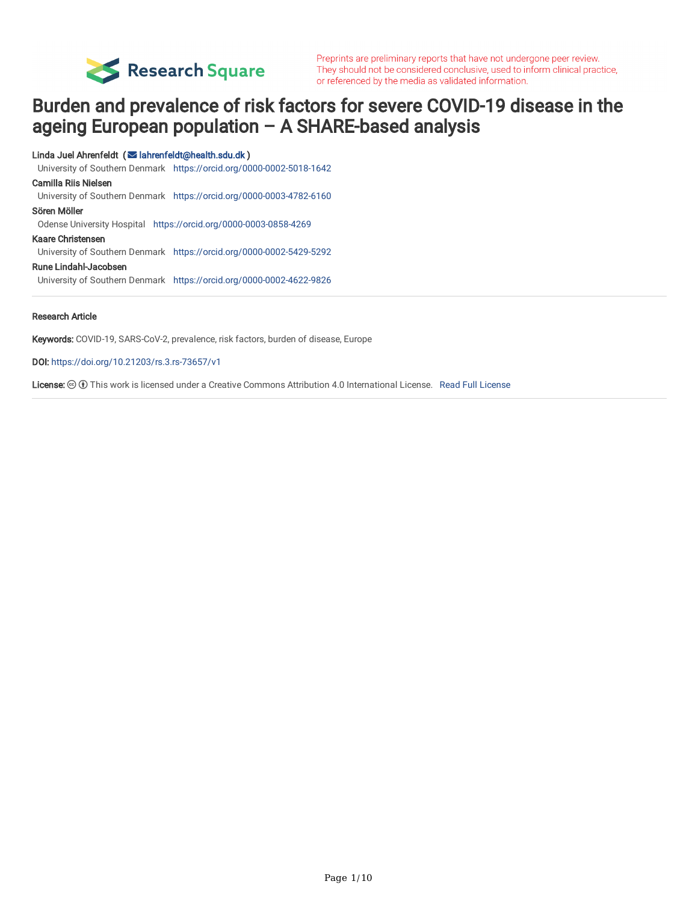

Preprints are preliminary reports that have not undergone peer review. They should not be considered conclusive, used to inform clinical practice, or referenced by the media as validated information.

# Burden and prevalence of risk factors for severe COVID-19 disease in the ageing European population – A SHARE-based analysis

#### Linda Juel Ahrenfeldt ( Iahrenfeldt@health.sdu.dk )

University of Southern Denmark <https://orcid.org/0000-0002-5018-1642>

#### Camilla Riis Nielsen

University of Southern Denmark <https://orcid.org/0000-0003-4782-6160>

#### Sören Möller

Odense University Hospital <https://orcid.org/0000-0003-0858-4269>

#### Kaare Christensen

University of Southern Denmark <https://orcid.org/0000-0002-5429-5292>

#### Rune Lindahl-Jacobsen

University of Southern Denmark <https://orcid.org/0000-0002-4622-9826>

#### Research Article

Keywords: COVID-19, SARS-CoV-2, prevalence, risk factors, burden of disease, Europe

#### DOI: <https://doi.org/10.21203/rs.3.rs-73657/v1>

[License](https://creativecommons.org/licenses/by/4.0/):  $\circledast \circledast$  This work is licensed under a Creative Commons Attribution 4.0 International License. Read Full License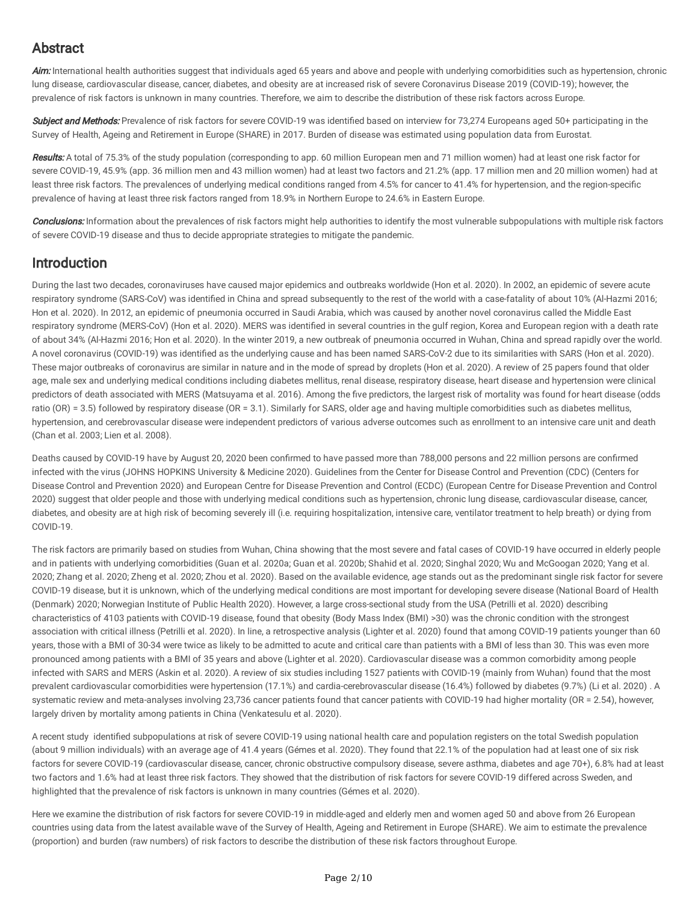# Abstract

Aim: International health authorities suggest that individuals aged 65 years and above and people with underlying comorbidities such as hypertension, chronic lung disease, cardiovascular disease, cancer, diabetes, and obesity are at increased risk of severe Coronavirus Disease 2019 (COVID-19); however, the prevalence of risk factors is unknown in many countries. Therefore, we aim to describe the distribution of these risk factors across Europe.

Subject and Methods: Prevalence of risk factors for severe COVID-19 was identified based on interview for 73,274 Europeans aged 50+ participating in the Survey of Health, Ageing and Retirement in Europe (SHARE) in 2017. Burden of disease was estimated using population data from Eurostat.

Results: A total of 75.3% of the study population (corresponding to app. 60 million European men and 71 million women) had at least one risk factor for severe COVID-19, 45.9% (app. 36 million men and 43 million women) had at least two factors and 21.2% (app. 17 million men and 20 million women) had at least three risk factors. The prevalences of underlying medical conditions ranged from 4.5% for cancer to 41.4% for hypertension, and the region-specific prevalence of having at least three risk factors ranged from 18.9% in Northern Europe to 24.6% in Eastern Europe.

**Conclusions:** Information about the prevalences of risk factors might help authorities to identify the most vulnerable subpopulations with multiple risk factors of severe COVID-19 disease and thus to decide appropriate strategies to mitigate the pandemic.

### Introduction

During the last two decades, coronaviruses have caused major epidemics and outbreaks worldwide (Hon et al. 2020). In 2002, an epidemic of severe acute respiratory syndrome (SARS-CoV) was identified in China and spread subsequently to the rest of the world with a case-fatality of about 10% (Al-Hazmi 2016; Hon et al. 2020). In 2012, an epidemic of pneumonia occurred in Saudi Arabia, which was caused by another novel coronavirus called the Middle East respiratory syndrome (MERS-CoV) (Hon et al. 2020). MERS was identified in several countries in the gulf region, Korea and European region with a death rate of about 34% (Al-Hazmi 2016; Hon et al. 2020). In the winter 2019, a new outbreak of pneumonia occurred in Wuhan, China and spread rapidly over the world. A novel coronavirus (COVID-19) was identified as the underlying cause and has been named SARS-CoV-2 due to its similarities with SARS (Hon et al. 2020). These major outbreaks of coronavirus are similar in nature and in the mode of spread by droplets (Hon et al. 2020). A review of 25 papers found that older age, male sex and underlying medical conditions including diabetes mellitus, renal disease, respiratory disease, heart disease and hypertension were clinical predictors of death associated with MERS (Matsuyama et al. 2016). Among the five predictors, the largest risk of mortality was found for heart disease (odds ratio (OR) = 3.5) followed by respiratory disease (OR = 3.1). Similarly for SARS, older age and having multiple comorbidities such as diabetes mellitus, hypertension, and cerebrovascular disease were independent predictors of various adverse outcomes such as enrollment to an intensive care unit and death (Chan et al. 2003; Lien et al. 2008).

Deaths caused by COVID-19 have by August 20, 2020 been confirmed to have passed more than 788,000 persons and 22 million persons are confirmed infected with the virus (JOHNS HOPKINS University & Medicine 2020). Guidelines from the Center for Disease Control and Prevention (CDC) (Centers for Disease Control and Prevention 2020) and European Centre for Disease Prevention and Control (ECDC) (European Centre for Disease Prevention and Control 2020) suggest that older people and those with underlying medical conditions such as hypertension, chronic lung disease, cardiovascular disease, cancer, diabetes, and obesity are at high risk of becoming severely ill (i.e. requiring hospitalization, intensive care, ventilator treatment to help breath) or dying from COVID-19.

The risk factors are primarily based on studies from Wuhan, China showing that the most severe and fatal cases of COVID-19 have occurred in elderly people and in patients with underlying comorbidities (Guan et al. 2020a; Guan et al. 2020b; Shahid et al. 2020; Singhal 2020; Wu and McGoogan 2020; Yang et al. 2020; Zhang et al. 2020; Zheng et al. 2020; Zhou et al. 2020). Based on the available evidence, age stands out as the predominant single risk factor for severe COVID-19 disease, but it is unknown, which of the underlying medical conditions are most important for developing severe disease (National Board of Health (Denmark) 2020; Norwegian Institute of Public Health 2020). However, a large cross-sectional study from the USA (Petrilli et al. 2020) describing characteristics of 4103 patients with COVID-19 disease, found that obesity (Body Mass Index (BMI) >30) was the chronic condition with the strongest association with critical illness (Petrilli et al. 2020). In line, a retrospective analysis (Lighter et al. 2020) found that among COVID-19 patients younger than 60 years, those with a BMI of 30-34 were twice as likely to be admitted to acute and critical care than patients with a BMI of less than 30. This was even more pronounced among patients with a BMI of 35 years and above (Lighter et al. 2020). Cardiovascular disease was a common comorbidity among people infected with SARS and MERS (Askin et al. 2020). A review of six studies including 1527 patients with COVID-19 (mainly from Wuhan) found that the most prevalent cardiovascular comorbidities were hypertension (17.1%) and cardia-cerebrovascular disease (16.4%) followed by diabetes (9.7%) (Li et al. 2020) . A systematic review and meta-analyses involving 23,736 cancer patients found that cancer patients with COVID-19 had higher mortality (OR = 2.54), however, largely driven by mortality among patients in China (Venkatesulu et al. 2020).

A recent study identified subpopulations at risk of severe COVID-19 using national health care and population registers on the total Swedish population (about 9 million individuals) with an average age of 41.4 years (Gémes et al. 2020). They found that 22.1% of the population had at least one of six risk factors for severe COVID-19 (cardiovascular disease, cancer, chronic obstructive compulsory disease, severe asthma, diabetes and age 70+), 6.8% had at least two factors and 1.6% had at least three risk factors. They showed that the distribution of risk factors for severe COVID-19 differed across Sweden, and highlighted that the prevalence of risk factors is unknown in many countries (Gémes et al. 2020).

Here we examine the distribution of risk factors for severe COVID-19 in middle-aged and elderly men and women aged 50 and above from 26 European countries using data from the latest available wave of the Survey of Health, Ageing and Retirement in Europe (SHARE). We aim to estimate the prevalence (proportion) and burden (raw numbers) of risk factors to describe the distribution of these risk factors throughout Europe.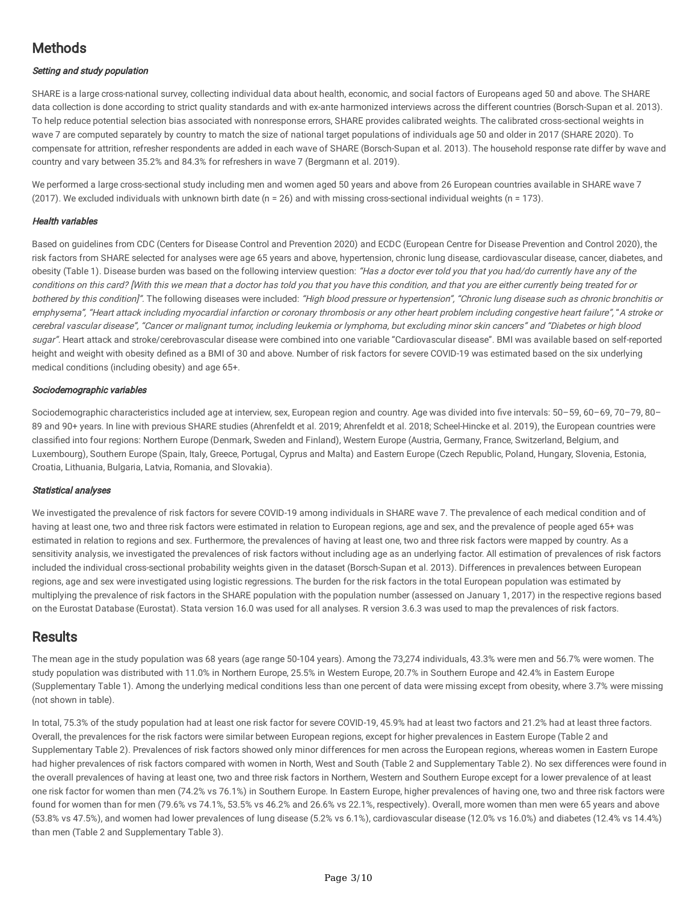# **Methods**

#### Setting and study population

SHARE is a large cross-national survey, collecting individual data about health, economic, and social factors of Europeans aged 50 and above. The SHARE data collection is done according to strict quality standards and with ex-ante harmonized interviews across the different countries (Borsch-Supan et al. 2013). To help reduce potential selection bias associated with nonresponse errors, SHARE provides calibrated weights. The calibrated cross-sectional weights in wave 7 are computed separately by country to match the size of national target populations of individuals age 50 and older in 2017 (SHARE 2020). To compensate for attrition, refresher respondents are added in each wave of SHARE (Borsch-Supan et al. 2013). The household response rate differ by wave and country and vary between 35.2% and 84.3% for refreshers in wave 7 (Bergmann et al. 2019).

We performed a large cross-sectional study including men and women aged 50 years and above from 26 European countries available in SHARE wave 7 (2017). We excluded individuals with unknown birth date ( $n = 26$ ) and with missing cross-sectional individual weights ( $n = 173$ ).

#### Health variables

Based on guidelines from CDC (Centers for Disease Control and Prevention 2020) and ECDC (European Centre for Disease Prevention and Control 2020), the risk factors from SHARE selected for analyses were age 65 years and above, hypertension, chronic lung disease, cardiovascular disease, cancer, diabetes, and obesity (Table 1). Disease burden was based on the following interview question: "Has a doctor ever told you that you had/do currently have any of the conditions on this card? [With this we mean that <sup>a</sup> doctor has told you that you have this condition, and that you are either currently being treated for or bothered by this condition]". The following diseases were included: "High blood pressure or hypertension", "Chronic lung disease such as chronic bronchitis or emphysema", "Heart attack including myocardial infarction or coronary thrombosis or any other heart problem including congestive heart failure", "A stroke or cerebral vascular disease", "Cancer or malignant tumor, including leukemia or lymphoma, but excluding minor skin cancers" and "Diabetes or high blood sugar". Heart attack and stroke/cerebrovascular disease were combined into one variable "Cardiovascular disease". BMI was available based on self-reported height and weight with obesity defined as a BMI of 30 and above. Number of risk factors for severe COVID-19 was estimated based on the six underlying medical conditions (including obesity) and age 65+.

#### Sociodemographic variables

Sociodemographic characteristics included age at interview, sex, European region and country. Age was divided into five intervals: 50-59, 60-69, 70-79, 80-89 and 90+ years. In line with previous SHARE studies (Ahrenfeldt et al. 2019; Ahrenfeldt et al. 2018; Scheel-Hincke et al. 2019), the European countries were classied into four regions: Northern Europe (Denmark, Sweden and Finland), Western Europe (Austria, Germany, France, Switzerland, Belgium, and Luxembourg), Southern Europe (Spain, Italy, Greece, Portugal, Cyprus and Malta) and Eastern Europe (Czech Republic, Poland, Hungary, Slovenia, Estonia, Croatia, Lithuania, Bulgaria, Latvia, Romania, and Slovakia).

#### Statistical analyses

We investigated the prevalence of risk factors for severe COVID-19 among individuals in SHARE wave 7. The prevalence of each medical condition and of having at least one, two and three risk factors were estimated in relation to European regions, age and sex, and the prevalence of people aged 65+ was estimated in relation to regions and sex. Furthermore, the prevalences of having at least one, two and three risk factors were mapped by country. As a sensitivity analysis, we investigated the prevalences of risk factors without including age as an underlying factor. All estimation of prevalences of risk factors included the individual cross-sectional probability weights given in the dataset (Borsch-Supan et al. 2013). Differences in prevalences between European regions, age and sex were investigated using logistic regressions. The burden for the risk factors in the total European population was estimated by multiplying the prevalence of risk factors in the SHARE population with the population number (assessed on January 1, 2017) in the respective regions based on the Eurostat Database (Eurostat). Stata version 16.0 was used for all analyses. R version 3.6.3 was used to map the prevalences of risk factors.

### **Results**

The mean age in the study population was 68 years (age range 50-104 years). Among the 73,274 individuals, 43.3% were men and 56.7% were women. The study population was distributed with 11.0% in Northern Europe, 25.5% in Western Europe, 20.7% in Southern Europe and 42.4% in Eastern Europe (Supplementary Table 1). Among the underlying medical conditions less than one percent of data were missing except from obesity, where 3.7% were missing (not shown in table).

In total, 75.3% of the study population had at least one risk factor for severe COVID-19, 45.9% had at least two factors and 21.2% had at least three factors. Overall, the prevalences for the risk factors were similar between European regions, except for higher prevalences in Eastern Europe (Table 2 and Supplementary Table 2). Prevalences of risk factors showed only minor differences for men across the European regions, whereas women in Eastern Europe had higher prevalences of risk factors compared with women in North, West and South (Table 2 and Supplementary Table 2). No sex differences were found in the overall prevalences of having at least one, two and three risk factors in Northern, Western and Southern Europe except for a lower prevalence of at least one risk factor for women than men (74.2% vs 76.1%) in Southern Europe. In Eastern Europe, higher prevalences of having one, two and three risk factors were found for women than for men (79.6% vs 74.1%, 53.5% vs 46.2% and 26.6% vs 22.1%, respectively). Overall, more women than men were 65 years and above (53.8% vs 47.5%), and women had lower prevalences of lung disease (5.2% vs 6.1%), cardiovascular disease (12.0% vs 16.0%) and diabetes (12.4% vs 14.4%) than men (Table 2 and Supplementary Table 3).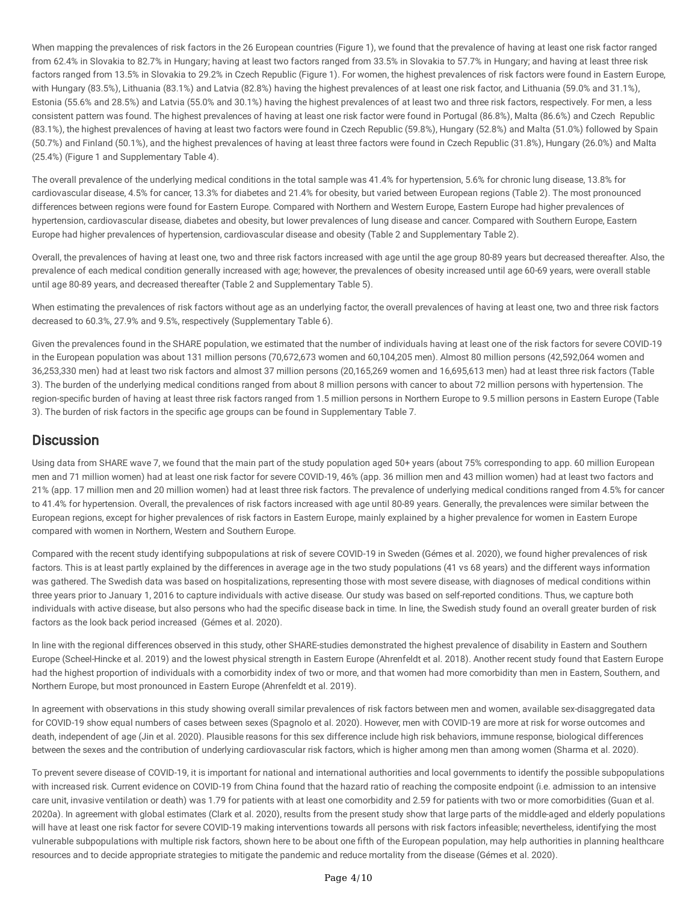When mapping the prevalences of risk factors in the 26 European countries (Figure 1), we found that the prevalence of having at least one risk factor ranged from 62.4% in Slovakia to 82.7% in Hungary; having at least two factors ranged from 33.5% in Slovakia to 57.7% in Hungary; and having at least three risk factors ranged from 13.5% in Slovakia to 29.2% in Czech Republic (Figure 1). For women, the highest prevalences of risk factors were found in Eastern Europe, with Hungary (83.5%), Lithuania (83.1%) and Latvia (82.8%) having the highest prevalences of at least one risk factor, and Lithuania (59.0% and 31.1%), Estonia (55.6% and 28.5%) and Latvia (55.0% and 30.1%) having the highest prevalences of at least two and three risk factors, respectively. For men, a less consistent pattern was found. The highest prevalences of having at least one risk factor were found in Portugal (86.8%), Malta (86.6%) and Czech Republic (83.1%), the highest prevalences of having at least two factors were found in Czech Republic (59.8%), Hungary (52.8%) and Malta (51.0%) followed by Spain (50.7%) and Finland (50.1%), and the highest prevalences of having at least three factors were found in Czech Republic (31.8%), Hungary (26.0%) and Malta (25.4%) (Figure 1 and Supplementary Table 4).

The overall prevalence of the underlying medical conditions in the total sample was 41.4% for hypertension, 5.6% for chronic lung disease, 13.8% for cardiovascular disease, 4.5% for cancer, 13.3% for diabetes and 21.4% for obesity, but varied between European regions (Table 2). The most pronounced differences between regions were found for Eastern Europe. Compared with Northern and Western Europe, Eastern Europe had higher prevalences of hypertension, cardiovascular disease, diabetes and obesity, but lower prevalences of lung disease and cancer. Compared with Southern Europe, Eastern Europe had higher prevalences of hypertension, cardiovascular disease and obesity (Table 2 and Supplementary Table 2).

Overall, the prevalences of having at least one, two and three risk factors increased with age until the age group 80-89 years but decreased thereafter. Also, the prevalence of each medical condition generally increased with age; however, the prevalences of obesity increased until age 60-69 years, were overall stable until age 80-89 years, and decreased thereafter (Table 2 and Supplementary Table 5).

When estimating the prevalences of risk factors without age as an underlying factor, the overall prevalences of having at least one, two and three risk factors decreased to 60.3%, 27.9% and 9.5%, respectively (Supplementary Table 6).

Given the prevalences found in the SHARE population, we estimated that the number of individuals having at least one of the risk factors for severe COVID-19 in the European population was about 131 million persons (70,672,673 women and 60,104,205 men). Almost 80 million persons (42,592,064 women and 36,253,330 men) had at least two risk factors and almost 37 million persons (20,165,269 women and 16,695,613 men) had at least three risk factors (Table 3). The burden of the underlying medical conditions ranged from about 8 million persons with cancer to about 72 million persons with hypertension. The region-specific burden of having at least three risk factors ranged from 1.5 million persons in Northern Europe to 9.5 million persons in Eastern Europe (Table 3). The burden of risk factors in the specific age groups can be found in Supplementary Table 7.

### **Discussion**

Using data from SHARE wave 7, we found that the main part of the study population aged 50+ years (about 75% corresponding to app. 60 million European men and 71 million women) had at least one risk factor for severe COVID-19, 46% (app. 36 million men and 43 million women) had at least two factors and 21% (app. 17 million men and 20 million women) had at least three risk factors. The prevalence of underlying medical conditions ranged from 4.5% for cancer to 41.4% for hypertension. Overall, the prevalences of risk factors increased with age until 80-89 years. Generally, the prevalences were similar between the European regions, except for higher prevalences of risk factors in Eastern Europe, mainly explained by a higher prevalence for women in Eastern Europe compared with women in Northern, Western and Southern Europe.

Compared with the recent study identifying subpopulations at risk of severe COVID-19 in Sweden (Gémes et al. 2020), we found higher prevalences of risk factors. This is at least partly explained by the differences in average age in the two study populations (41 vs 68 years) and the different ways information was gathered. The Swedish data was based on hospitalizations, representing those with most severe disease, with diagnoses of medical conditions within three years prior to January 1, 2016 to capture individuals with active disease. Our study was based on self-reported conditions. Thus, we capture both individuals with active disease, but also persons who had the specific disease back in time. In line, the Swedish study found an overall greater burden of risk factors as the look back period increased (Gémes et al. 2020).

In line with the regional differences observed in this study, other SHARE-studies demonstrated the highest prevalence of disability in Eastern and Southern Europe (Scheel-Hincke et al. 2019) and the lowest physical strength in Eastern Europe (Ahrenfeldt et al. 2018). Another recent study found that Eastern Europe had the highest proportion of individuals with a comorbidity index of two or more, and that women had more comorbidity than men in Eastern, Southern, and Northern Europe, but most pronounced in Eastern Europe (Ahrenfeldt et al. 2019).

In agreement with observations in this study showing overall similar prevalences of risk factors between men and women, available sex-disaggregated data for COVID-19 show equal numbers of cases between sexes (Spagnolo et al. 2020). However, men with COVID-19 are more at risk for worse outcomes and death, independent of age (Jin et al. 2020). Plausible reasons for this sex difference include high risk behaviors, immune response, biological differences between the sexes and the contribution of underlying cardiovascular risk factors, which is higher among men than among women (Sharma et al. 2020).

To prevent severe disease of COVID-19, it is important for national and international authorities and local governments to identify the possible subpopulations with increased risk. Current evidence on COVID-19 from China found that the hazard ratio of reaching the composite endpoint (i.e. admission to an intensive care unit, invasive ventilation or death) was 1.79 for patients with at least one comorbidity and 2.59 for patients with two or more comorbidities (Guan et al. 2020a). In agreement with global estimates (Clark et al. 2020), results from the present study show that large parts of the middle-aged and elderly populations will have at least one risk factor for severe COVID-19 making interventions towards all persons with risk factors infeasible; nevertheless, identifying the most vulnerable subpopulations with multiple risk factors, shown here to be about one fth of the European population, may help authorities in planning healthcare resources and to decide appropriate strategies to mitigate the pandemic and reduce mortality from the disease (Gémes et al. 2020).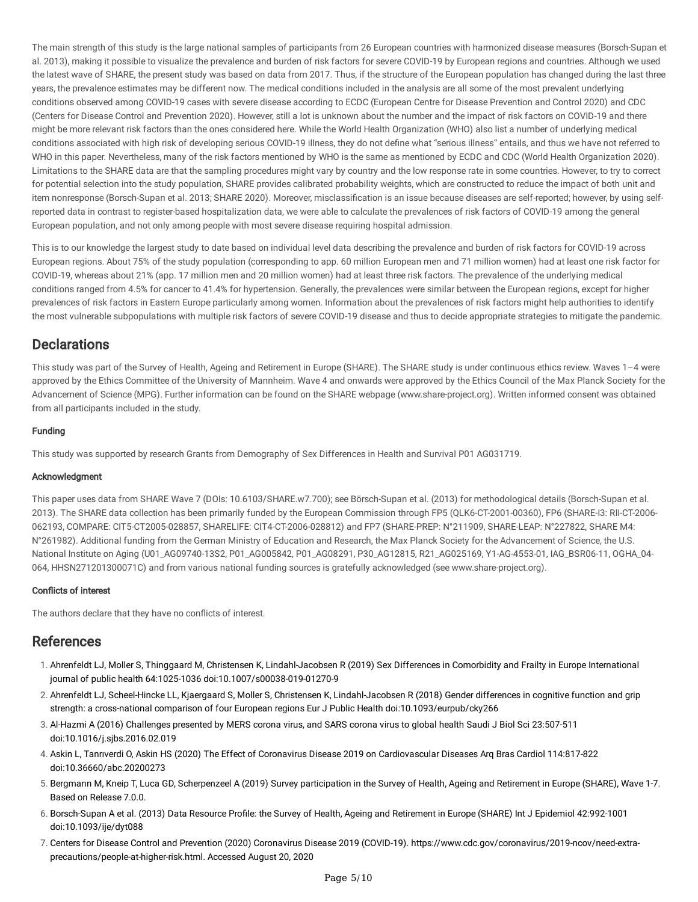The main strength of this study is the large national samples of participants from 26 European countries with harmonized disease measures (Borsch-Supan et al. 2013), making it possible to visualize the prevalence and burden of risk factors for severe COVID-19 by European regions and countries. Although we used the latest wave of SHARE, the present study was based on data from 2017. Thus, if the structure of the European population has changed during the last three years, the prevalence estimates may be different now. The medical conditions included in the analysis are all some of the most prevalent underlying conditions observed among COVID-19 cases with severe disease according to ECDC (European Centre for Disease Prevention and Control 2020) and CDC (Centers for Disease Control and Prevention 2020). However, still a lot is unknown about the number and the impact of risk factors on COVID-19 and there might be more relevant risk factors than the ones considered here. While the World Health Organization (WHO) also list a number of underlying medical conditions associated with high risk of developing serious COVID-19 illness, they do not define what "serious illness" entails, and thus we have not referred to WHO in this paper. Nevertheless, many of the risk factors mentioned by WHO is the same as mentioned by ECDC and CDC (World Health Organization 2020). Limitations to the SHARE data are that the sampling procedures might vary by country and the low response rate in some countries. However, to try to correct for potential selection into the study population, SHARE provides calibrated probability weights, which are constructed to reduce the impact of both unit and item nonresponse (Borsch-Supan et al. 2013; SHARE 2020). Moreover, misclassification is an issue because diseases are self-reported; however, by using selfreported data in contrast to register-based hospitalization data, we were able to calculate the prevalences of risk factors of COVID-19 among the general European population, and not only among people with most severe disease requiring hospital admission.

This is to our knowledge the largest study to date based on individual level data describing the prevalence and burden of risk factors for COVID-19 across European regions. About 75% of the study population (corresponding to app. 60 million European men and 71 million women) had at least one risk factor for COVID-19, whereas about 21% (app. 17 million men and 20 million women) had at least three risk factors. The prevalence of the underlying medical conditions ranged from 4.5% for cancer to 41.4% for hypertension. Generally, the prevalences were similar between the European regions, except for higher prevalences of risk factors in Eastern Europe particularly among women. Information about the prevalences of risk factors might help authorities to identify the most vulnerable subpopulations with multiple risk factors of severe COVID-19 disease and thus to decide appropriate strategies to mitigate the pandemic.

### **Declarations**

This study was part of the Survey of Health, Ageing and Retirement in Europe (SHARE). The SHARE study is under continuous ethics review. Waves 1–4 were approved by the Ethics Committee of the University of Mannheim. Wave 4 and onwards were approved by the Ethics Council of the Max Planck Society for the Advancement of Science (MPG). Further information can be found on the SHARE webpage (www.share-project.org). Written informed consent was obtained from all participants included in the study.

#### Funding

This study was supported by research Grants from Demography of Sex Differences in Health and Survival P01 AG031719.

#### Acknowledgment

This paper uses data from SHARE Wave 7 (DOIs: 10.6103/SHARE.w7.700); see Börsch-Supan et al. (2013) for methodological details (Borsch-Supan et al. 2013). The SHARE data collection has been primarily funded by the European Commission through FP5 (QLK6-CT-2001-00360), FP6 (SHARE-I3: RII-CT-2006- 062193, COMPARE: CIT5-CT2005-028857, SHARELIFE: CIT4-CT-2006-028812) and FP7 (SHARE-PREP: N°211909, SHARE-LEAP: N°227822, SHARE M4: N°261982). Additional funding from the German Ministry of Education and Research, the Max Planck Society for the Advancement of Science, the U.S. National Institute on Aging (U01\_AG09740-13S2, P01\_AG005842, P01\_AG08291, P30\_AG12815, R21\_AG025169, Y1-AG-4553-01, IAG\_BSR06-11, OGHA\_04- 064, HHSN271201300071C) and from various national funding sources is gratefully acknowledged (see www.share-project.org).

#### Conflicts of interest

The authors declare that they have no conflicts of interest.

### References

- 1. Ahrenfeldt LJ, Moller S, Thinggaard M, Christensen K, Lindahl-Jacobsen R (2019) Sex Differences in Comorbidity and Frailty in Europe International journal of public health 64:1025-1036 doi:10.1007/s00038-019-01270-9
- 2. Ahrenfeldt LJ, Scheel-Hincke LL, Kjaergaard S, Moller S, Christensen K, Lindahl-Jacobsen R (2018) Gender differences in cognitive function and grip strength: a cross-national comparison of four European regions Eur J Public Health doi:10.1093/eurpub/cky266
- 3. Al-Hazmi A (2016) Challenges presented by MERS corona virus, and SARS corona virus to global health Saudi J Biol Sci 23:507-511 doi:10.1016/j.sjbs.2016.02.019
- 4. Askin L, Tanrıverdi O, Askin HS (2020) The Effect of Coronavirus Disease 2019 on Cardiovascular Diseases Arq Bras Cardiol 114:817-822 doi:10.36660/abc.20200273
- 5. Bergmann M, Kneip T, Luca GD, Scherpenzeel A (2019) Survey participation in the Survey of Health, Ageing and Retirement in Europe (SHARE), Wave 1-7. Based on Release 7.0.0.
- 6. Borsch-Supan A et al. (2013) Data Resource Profile: the Survey of Health, Ageing and Retirement in Europe (SHARE) Int J Epidemiol 42:992-1001 doi:10.1093/ije/dyt088
- 7. Centers for Disease Control and Prevention (2020) Coronavirus Disease 2019 (COVID-19). [https://www.cdc.gov/coronavirus/2019-ncov/need-extra](https://www.cdc.gov/coronavirus/2019-ncov/need-extra-precautions/people-at-higher-risk.html)precautions/people-at-higher-risk.html. Accessed August 20, 2020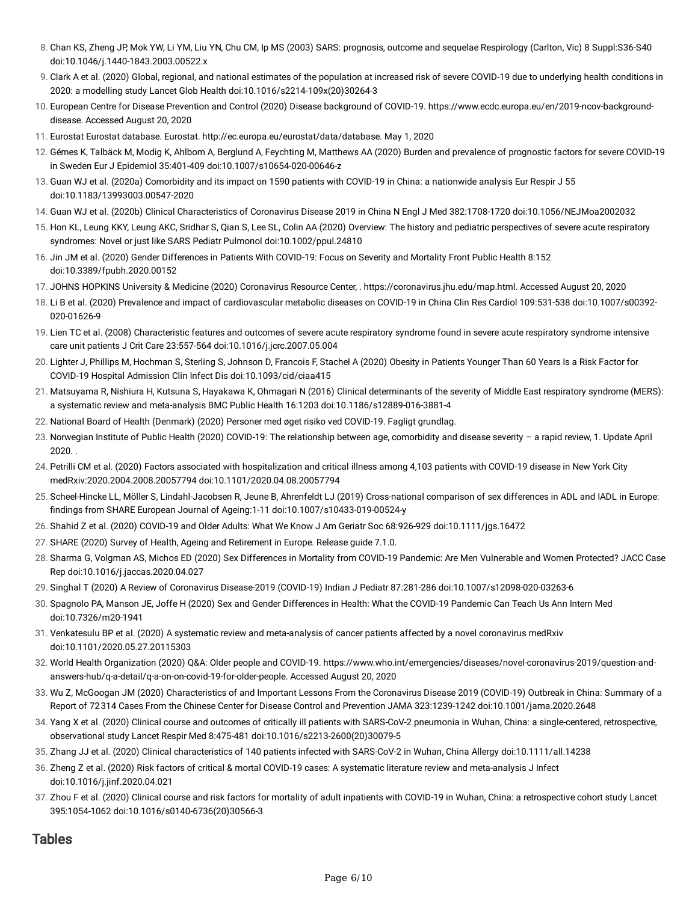- 8. Chan KS, Zheng JP, Mok YW, Li YM, Liu YN, Chu CM, Ip MS (2003) SARS: prognosis, outcome and sequelae Respirology (Carlton, Vic) 8 Suppl:S36-S40 doi:10.1046/j.1440-1843.2003.00522.x
- 9. Clark A et al. (2020) Global, regional, and national estimates of the population at increased risk of severe COVID-19 due to underlying health conditions in 2020: a modelling study Lancet Glob Health doi:10.1016/s2214-109x(20)30264-3
- 10. European Centre for Disease Prevention and Control (2020) Disease background of COVID-19. [https://www.ecdc.europa.eu/en/2019-ncov-background](https://www.ecdc.europa.eu/en/2019-ncov-background-disease)disease. Accessed August 20, 2020
- 11. Eurostat Eurostat database. Eurostat. <http://ec.europa.eu/eurostat/data/database>. May 1, 2020
- 12. Gémes K, Talbäck M, Modig K, Ahlbom A, Berglund A, Feychting M, Matthews AA (2020) Burden and prevalence of prognostic factors for severe COVID-19 in Sweden Eur J Epidemiol 35:401-409 doi:10.1007/s10654-020-00646-z
- 13. Guan WJ et al. (2020a) Comorbidity and its impact on 1590 patients with COVID-19 in China: a nationwide analysis Eur Respir J 55 doi:10.1183/13993003.00547-2020
- 14. Guan WJ et al. (2020b) Clinical Characteristics of Coronavirus Disease 2019 in China N Engl J Med 382:1708-1720 doi:10.1056/NEJMoa2002032
- 15. Hon KL, Leung KKY, Leung AKC, Sridhar S, Qian S, Lee SL, Colin AA (2020) Overview: The history and pediatric perspectives of severe acute respiratory syndromes: Novel or just like SARS Pediatr Pulmonol doi:10.1002/ppul.24810
- 16. Jin JM et al. (2020) Gender Differences in Patients With COVID-19: Focus on Severity and Mortality Front Public Health 8:152 doi:10.3389/fpubh.2020.00152
- 17. JOHNS HOPKINS University & Medicine (2020) Coronavirus Resource Center, . <https://coronavirus.jhu.edu/map.html>. Accessed August 20, 2020
- 18. Li B et al. (2020) Prevalence and impact of cardiovascular metabolic diseases on COVID-19 in China Clin Res Cardiol 109:531-538 doi:10.1007/s00392- 020-01626-9
- 19. Lien TC et al. (2008) Characteristic features and outcomes of severe acute respiratory syndrome found in severe acute respiratory syndrome intensive care unit patients J Crit Care 23:557-564 doi:10.1016/j.jcrc.2007.05.004
- 20. Lighter J, Phillips M, Hochman S, Sterling S, Johnson D, Francois F, Stachel A (2020) Obesity in Patients Younger Than 60 Years Is a Risk Factor for COVID-19 Hospital Admission Clin Infect Dis doi:10.1093/cid/ciaa415
- 21. Matsuyama R, Nishiura H, Kutsuna S, Hayakawa K, Ohmagari N (2016) Clinical determinants of the severity of Middle East respiratory syndrome (MERS): a systematic review and meta-analysis BMC Public Health 16:1203 doi:10.1186/s12889-016-3881-4
- 22. National Board of Health (Denmark) (2020) Personer med øget risiko ved COVID-19. Fagligt grundlag.
- 23. Norwegian Institute of Public Health (2020) COVID-19: The relationship between age, comorbidity and disease severity a rapid review, 1. Update April 2020. .
- 24. Petrilli CM et al. (2020) Factors associated with hospitalization and critical illness among 4,103 patients with COVID-19 disease in New York City medRxiv:2020.2004.2008.20057794 doi:10.1101/2020.04.08.20057794
- 25. Scheel-Hincke LL, Möller S, Lindahl-Jacobsen R, Jeune B, Ahrenfeldt LJ (2019) Cross-national comparison of sex differences in ADL and IADL in Europe: findings from SHARE European Journal of Ageing:1-11 doi:10.1007/s10433-019-00524-y
- 26. Shahid Z et al. (2020) COVID-19 and Older Adults: What We Know J Am Geriatr Soc 68:926-929 doi:10.1111/jgs.16472
- 27. SHARE (2020) Survey of Health, Ageing and Retirement in Europe. Release guide 7.1.0.
- 28. Sharma G, Volgman AS, Michos ED (2020) Sex Differences in Mortality from COVID-19 Pandemic: Are Men Vulnerable and Women Protected? JACC Case Rep doi:10.1016/j.jaccas.2020.04.027
- 29. Singhal T (2020) A Review of Coronavirus Disease-2019 (COVID-19) Indian J Pediatr 87:281-286 doi:10.1007/s12098-020-03263-6
- 30. Spagnolo PA, Manson JE, Joffe H (2020) Sex and Gender Differences in Health: What the COVID-19 Pandemic Can Teach Us Ann Intern Med doi:10.7326/m20-1941
- 31. Venkatesulu BP et al. (2020) A systematic review and meta-analysis of cancer patients affected by a novel coronavirus medRxiv doi:10.1101/2020.05.27.20115303
- 32. World Health Organization (2020) Q&A: Older people and COVID-19. [https://www.who.int/emergencies/diseases/novel-coronavirus-2019/question-and](https://www.who.int/emergencies/diseases/novel-coronavirus-2019/question-and-answers-hub/q-a-detail/q-a-on-on-covid-19-for-older-people)answers-hub/q-a-detail/q-a-on-on-covid-19-for-older-people. Accessed August 20, 2020
- 33. Wu Z, McGoogan JM (2020) Characteristics of and Important Lessons From the Coronavirus Disease 2019 (COVID-19) Outbreak in China: Summary of a Report of 72314 Cases From the Chinese Center for Disease Control and Prevention JAMA 323:1239-1242 doi:10.1001/jama.2020.2648
- 34. Yang X et al. (2020) Clinical course and outcomes of critically ill patients with SARS-CoV-2 pneumonia in Wuhan, China: a single-centered, retrospective, observational study Lancet Respir Med 8:475-481 doi:10.1016/s2213-2600(20)30079-5
- 35. Zhang JJ et al. (2020) Clinical characteristics of 140 patients infected with SARS-CoV-2 in Wuhan, China Allergy doi:10.1111/all.14238
- 36. Zheng Z et al. (2020) Risk factors of critical & mortal COVID-19 cases: A systematic literature review and meta-analysis J Infect doi:10.1016/j.jinf.2020.04.021
- 37. Zhou F et al. (2020) Clinical course and risk factors for mortality of adult inpatients with COVID-19 in Wuhan, China: a retrospective cohort study Lancet 395:1054-1062 doi:10.1016/s0140-6736(20)30566-3

### Tables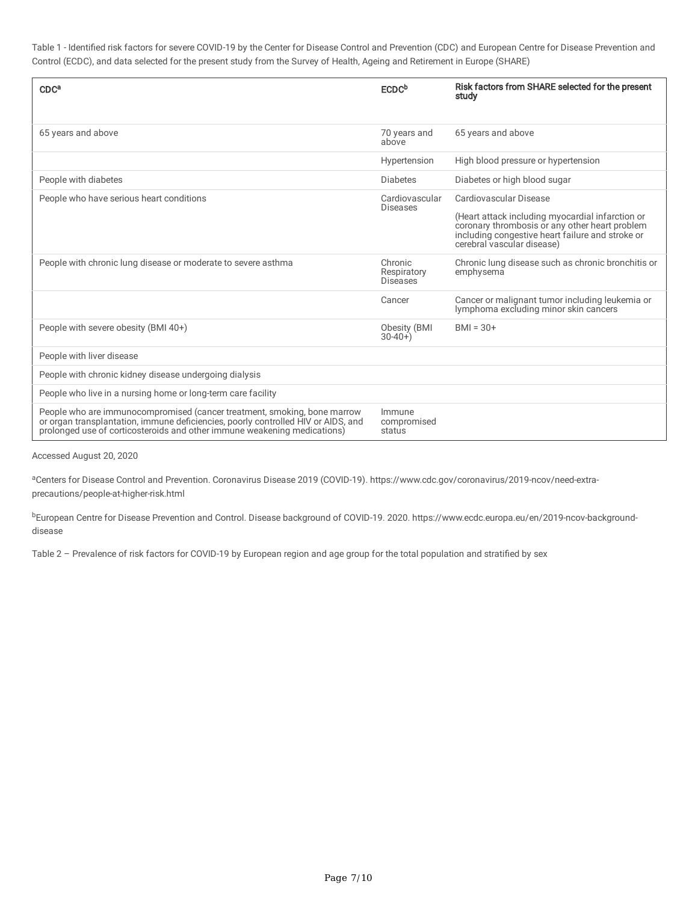Table 1 - Identified risk factors for severe COVID-19 by the Center for Disease Control and Prevention (CDC) and European Centre for Disease Prevention and Control (ECDC), and data selected for the present study from the Survey of Health, Ageing and Retirement in Europe (SHARE)

| CDC <sup>a</sup>                                                                                                                                                                                                                          | <b>ECDC</b> b                             | Risk factors from SHARE selected for the present<br>study                                                                                                                                                      |
|-------------------------------------------------------------------------------------------------------------------------------------------------------------------------------------------------------------------------------------------|-------------------------------------------|----------------------------------------------------------------------------------------------------------------------------------------------------------------------------------------------------------------|
| 65 years and above                                                                                                                                                                                                                        | 70 years and<br>above                     | 65 years and above                                                                                                                                                                                             |
|                                                                                                                                                                                                                                           | Hypertension                              | High blood pressure or hypertension                                                                                                                                                                            |
| People with diabetes                                                                                                                                                                                                                      | <b>Diabetes</b>                           | Diabetes or high blood sugar                                                                                                                                                                                   |
| People who have serious heart conditions                                                                                                                                                                                                  | Cardiovascular<br><b>Diseases</b>         | Cardiovascular Disease<br>(Heart attack including myocardial infarction or<br>coronary thrombosis or any other heart problem<br>including congestive heart failure and stroke or<br>cerebral vascular disease) |
| People with chronic lung disease or moderate to severe asthma                                                                                                                                                                             | Chronic<br>Respiratory<br><b>Diseases</b> | Chronic lung disease such as chronic bronchitis or<br>emphysema                                                                                                                                                |
|                                                                                                                                                                                                                                           | Cancer                                    | Cancer or malignant tumor including leukemia or<br>lymphoma excluding minor skin cancers                                                                                                                       |
| People with severe obesity (BMI 40+)                                                                                                                                                                                                      | Obesity (BMI<br>$30-40+$                  | $BMI = 30+$                                                                                                                                                                                                    |
| People with liver disease                                                                                                                                                                                                                 |                                           |                                                                                                                                                                                                                |
| People with chronic kidney disease undergoing dialysis                                                                                                                                                                                    |                                           |                                                                                                                                                                                                                |
| People who live in a nursing home or long-term care facility                                                                                                                                                                              |                                           |                                                                                                                                                                                                                |
| People who are immunocompromised (cancer treatment, smoking, bone marrow<br>or organ transplantation, immune deficiencies, poorly controlled HIV or AIDS, and<br>prolonged use of corticosteroids and other immune weakening medications) | Immune<br>compromised<br>status           |                                                                                                                                                                                                                |

Accessed August 20, 2020

<sup>a</sup>Centers for Disease Control and Prevention. Coronavirus Disease 2019 (COVID-19). https://www.cdc.gov/coronavirus/2019-ncov/need-extraprecautions/people-at-higher-risk.html

<sup>b</sup>European Centre for Disease Prevention and Control. Disease background of COVID-19. 2020. https://www.ecdc.europa.eu/en/2019-ncov-backgrounddisease

Table 2 – Prevalence of risk factors for COVID-19 by European region and age group for the total population and stratified by sex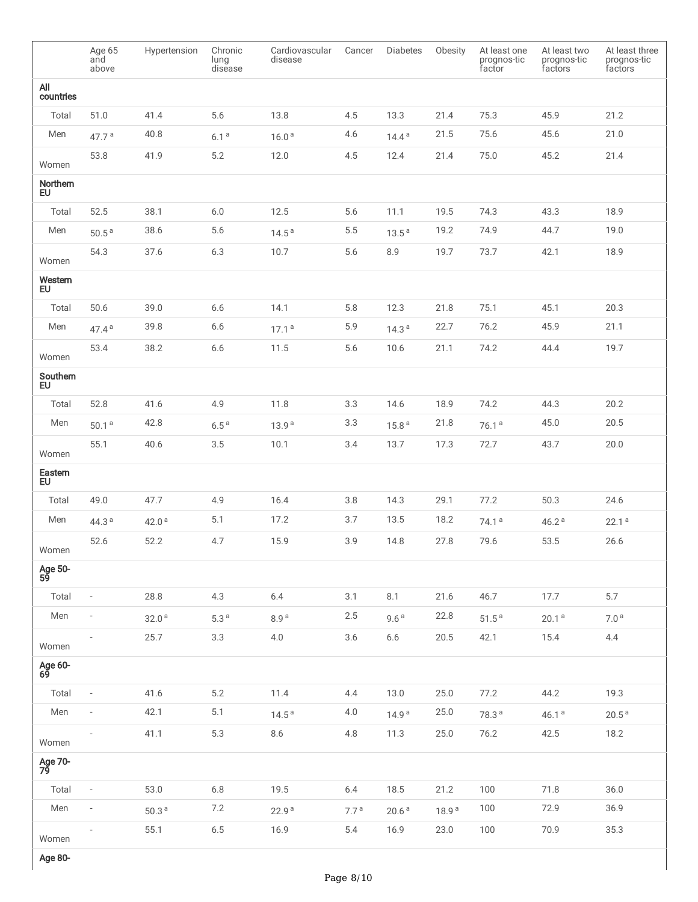|                      | Age 65<br>and<br>above   | Hypertension      | Chronic<br>lung<br>disease | Cardiovascular<br>disease | Cancer           | <b>Diabetes</b>   | Obesity           | At least one<br>prognos-tic<br>factor | At least two<br>prognos-tic<br>factors | At least three<br>prognos-tic<br>factors |
|----------------------|--------------------------|-------------------|----------------------------|---------------------------|------------------|-------------------|-------------------|---------------------------------------|----------------------------------------|------------------------------------------|
| All<br>countries     |                          |                   |                            |                           |                  |                   |                   |                                       |                                        |                                          |
| Total                | 51.0                     | 41.4              | 5.6                        | 13.8                      | 4.5              | 13.3              | 21.4              | 75.3                                  | 45.9                                   | 21.2                                     |
| Men                  | 47.7 $a$                 | 40.8              | 6.1 <sup>a</sup>           | 16.0 <sup>a</sup>         | 4.6              | 14.4 <sup>a</sup> | 21.5              | 75.6                                  | 45.6                                   | 21.0                                     |
| Women                | 53.8                     | 41.9              | 5.2                        | 12.0                      | 4.5              | 12.4              | 21.4              | 75.0                                  | 45.2                                   | 21.4                                     |
| Northern<br>EU       |                          |                   |                            |                           |                  |                   |                   |                                       |                                        |                                          |
| Total                | 52.5                     | 38.1              | $6.0\,$                    | 12.5                      | 5.6              | 11.1              | 19.5              | 74.3                                  | 43.3                                   | 18.9                                     |
| Men                  | 50.5 <sup>a</sup>        | 38.6              | 5.6                        | 14.5 <sup>a</sup>         | $5.5\,$          | 13.5 <sup>a</sup> | 19.2              | 74.9                                  | 44.7                                   | 19.0                                     |
| Women                | 54.3                     | 37.6              | $6.3$                      | 10.7                      | 5.6              | 8.9               | 19.7              | 73.7                                  | 42.1                                   | 18.9                                     |
| Western<br><b>EU</b> |                          |                   |                            |                           |                  |                   |                   |                                       |                                        |                                          |
| Total                | 50.6                     | 39.0              | 6.6                        | 14.1                      | 5.8              | 12.3              | 21.8              | 75.1                                  | 45.1                                   | 20.3                                     |
| Men                  | 47.4 <sup>a</sup>        | 39.8              | $6.6$                      | 17.1 <sup>a</sup>         | 5.9              | 14.3 <sup>a</sup> | 22.7              | 76.2                                  | 45.9                                   | 21.1                                     |
| Women                | 53.4                     | 38.2              | $6.6$                      | 11.5                      | 5.6              | 10.6              | 21.1              | 74.2                                  | 44.4                                   | 19.7                                     |
| Southern<br>EU.      |                          |                   |                            |                           |                  |                   |                   |                                       |                                        |                                          |
| Total                | 52.8                     | 41.6              | 4.9                        | 11.8                      | 3.3              | 14.6              | 18.9              | 74.2                                  | 44.3                                   | 20.2                                     |
| Men                  | 50.1 <sup>a</sup>        | 42.8              | 6.5 <sup>a</sup>           | 13.9 <sup>a</sup>         | $3.3\,$          | 15.8 <sup>a</sup> | 21.8              | 76.1 <sup>a</sup>                     | 45.0                                   | 20.5                                     |
| Women                | 55.1                     | 40.6              | 3.5                        | 10.1                      | 3.4              | 13.7              | 17.3              | 72.7                                  | 43.7                                   | 20.0                                     |
| Eastern<br><b>EU</b> |                          |                   |                            |                           |                  |                   |                   |                                       |                                        |                                          |
| Total                | 49.0                     | 47.7              | 4.9                        | 16.4                      | 3.8              | 14.3              | 29.1              | 77.2                                  | 50.3                                   | 24.6                                     |
| Men                  | 44.3 $a$                 | 42.0 <sup>a</sup> | 5.1                        | 17.2                      | 3.7              | 13.5              | 18.2              | 74.1 <sup>a</sup>                     | 46.2 <sup>a</sup>                      | 22.1a                                    |
| Women                | 52.6                     | 52.2              | 4.7                        | 15.9                      | 3.9              | 14.8              | 27.8              | 79.6                                  | 53.5                                   | 26.6                                     |
| Age 50-<br>59        |                          |                   |                            |                           |                  |                   |                   |                                       |                                        |                                          |
| Total                | $\overline{\phantom{a}}$ | 28.8              | $4.3\,$                    | $6.4$                     | 3.1              | 8.1               | 21.6              | 46.7                                  | 17.7                                   | $5.7\,$                                  |
| Men                  | $\overline{\phantom{m}}$ | 32.0 <sup>a</sup> | 5.3 <sup>a</sup>           | 8.9 <sup>a</sup>          | $2.5\,$          | 9.6 <sup>a</sup>  | 22.8              | 51.5 <sup>a</sup>                     | 20.1 <sup>a</sup>                      | 7.0 <sup>a</sup>                         |
| Women                |                          | 25.7              | $3.3\,$                    | $4.0\,$                   | $3.6\,$          | $6.6$             | $20.5\,$          | 42.1                                  | 15.4                                   | 4.4                                      |
| Age 60-<br>69        |                          |                   |                            |                           |                  |                   |                   |                                       |                                        |                                          |
| Total                | $\overline{\phantom{a}}$ | 41.6              | $5.2\,$                    | 11.4                      | 4.4              | 13.0              | 25.0              | 77.2                                  | 44.2                                   | 19.3                                     |
| Men                  |                          | 42.1              | 5.1                        | 14.5 <sup>a</sup>         | 4.0              | 14.9 <sup>a</sup> | 25.0              | 78.3 <sup>a</sup>                     | 46.1a                                  | 20.5 <sup>a</sup>                        |
| Women                |                          | 41.1              | $5.3\,$                    | $8.6\,$                   | $4.8\,$          | 11.3              | 25.0              | 76.2                                  | 42.5                                   | 18.2                                     |
| Age 70-<br>79        |                          |                   |                            |                           |                  |                   |                   |                                       |                                        |                                          |
| Total                | $\overline{\phantom{a}}$ | 53.0              | $6.8\,$                    | 19.5                      | $6.4$            | 18.5              | 21.2              | $100$                                 | 71.8                                   | $36.0$                                   |
| Men                  | $\overline{\phantom{0}}$ | $50.3$ $^{\rm a}$ | 7.2                        | 22.9 <sup>a</sup>         | 7.7 <sup>a</sup> | 20.6 <sup>a</sup> | 18.9 <sup>a</sup> | 100                                   | 72.9                                   | 36.9                                     |
| Women                | $\overline{\phantom{a}}$ | 55.1              | $6.5\,$                    | 16.9                      | $5.4\,$          | 16.9              | 23.0              | $100$                                 | 70.9                                   | 35.3                                     |

Age 80-

 $\mathbf{I}$ 

I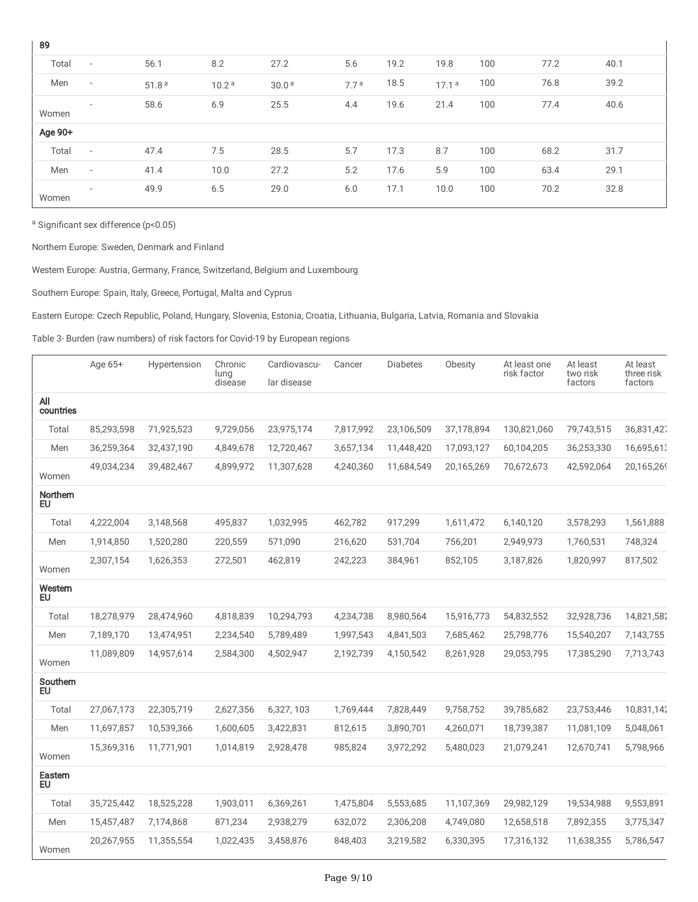| 89      |                          |                   |                   |                   |                  |      |                   |     |      |      |
|---------|--------------------------|-------------------|-------------------|-------------------|------------------|------|-------------------|-----|------|------|
| Total   | $\overline{\phantom{a}}$ | 56.1              | 8.2               | 27.2              | 5.6              | 19.2 | 19.8              | 100 | 77.2 | 40.1 |
| Men     | $\overline{\phantom{a}}$ | 51.8 <sup>a</sup> | 10.2 <sup>a</sup> | 30.0 <sup>a</sup> | 7.7 <sup>a</sup> | 18.5 | 17.1 <sup>a</sup> | 100 | 76.8 | 39.2 |
| Women   | $\overline{\phantom{a}}$ | 58.6              | 6.9               | 25.5              | 4.4              | 19.6 | 21.4              | 100 | 77.4 | 40.6 |
| Age 90+ |                          |                   |                   |                   |                  |      |                   |     |      |      |
| Total   | $\overline{\phantom{a}}$ | 47.4              | 7.5               | 28.5              | 5.7              | 17.3 | 8.7               | 100 | 68.2 | 31.7 |
| Men     | $\overline{\phantom{a}}$ | 41.4              | 10.0              | 27.2              | 5.2              | 17.6 | 5.9               | 100 | 63.4 | 29.1 |
| Women   | $\overline{\phantom{a}}$ | 49.9              | 6.5               | 29.0              | 6.0              | 17.1 | 10.0              | 100 | 70.2 | 32.8 |

Ĭ.

<sup>a</sup> Significant sex difference (p<0.05)

Northern Europe: Sweden, Denmark and Finland

Western Europe: Austria, Germany, France, Switzerland, Belgium and Luxembourg

Southern Europe: Spain, Italy, Greece, Portugal, Malta and Cyprus

Eastern Europe: Czech Republic, Poland, Hungary, Slovenia, Estonia, Croatia, Lithuania, Bulgaria, Latvia, Romania and Slovakia

Table 3- Burden (raw numbers) of risk factors for Covid-19 by European regions

|                       | Age 65+    | Hypertension | Chronic<br>lung | Cardiovascu- | Cancer    | <b>Diabetes</b> | Obesity    | At least one<br>risk factor | At least<br>two risk | At least<br>three risk |
|-----------------------|------------|--------------|-----------------|--------------|-----------|-----------------|------------|-----------------------------|----------------------|------------------------|
|                       |            |              | disease         | lar disease  |           |                 |            |                             | factors              | factors                |
| All<br>countries      |            |              |                 |              |           |                 |            |                             |                      |                        |
| Total                 | 85,293,598 | 71,925,523   | 9,729,056       | 23,975,174   | 7,817,992 | 23,106,509      | 37,178,894 | 130,821,060                 | 79,743,515           | 36,831,427             |
| Men                   | 36,259,364 | 32,437,190   | 4,849,678       | 12,720,467   | 3,657,134 | 11,448,420      | 17,093,127 | 60,104,205                  | 36,253,330           | 16,695,613             |
| Women                 | 49,034,234 | 39,482,467   | 4,899,972       | 11,307,628   | 4,240,360 | 11,684,549      | 20,165,269 | 70,672,673                  | 42,592,064           | 20,165,269             |
| Northern<br><b>EU</b> |            |              |                 |              |           |                 |            |                             |                      |                        |
| Total                 | 4,222,004  | 3,148,568    | 495,837         | 1,032,995    | 462,782   | 917,299         | 1,611,472  | 6,140,120                   | 3,578,293            | 1,561,888              |
| Men                   | 1,914,850  | 1,520,280    | 220,559         | 571,090      | 216,620   | 531,704         | 756,201    | 2,949,973                   | 1,760,531            | 748,324                |
| Women                 | 2,307,154  | 1,626,353    | 272,501         | 462,819      | 242,223   | 384,961         | 852,105    | 3,187,826                   | 1,820,997            | 817,502                |
| Western<br><b>EU</b>  |            |              |                 |              |           |                 |            |                             |                      |                        |
| Total                 | 18,278,979 | 28,474,960   | 4,818,839       | 10,294,793   | 4,234,738 | 8,980,564       | 15,916,773 | 54,832,552                  | 32,928,736           | 14,821,582             |
| Men                   | 7,189,170  | 13,474,951   | 2,234,540       | 5,789,489    | 1,997,543 | 4,841,503       | 7,685,462  | 25,798,776                  | 15,540,207           | 7,143,755              |
| Women                 | 11,089,809 | 14,957,614   | 2,584,300       | 4,502,947    | 2,192,739 | 4,150,542       | 8,261,928  | 29,053,795                  | 17,385,290           | 7,713,743              |
| Southern<br><b>EU</b> |            |              |                 |              |           |                 |            |                             |                      |                        |
| Total                 | 27,067,173 | 22,305,719   | 2,627,356       | 6,327, 103   | 1,769,444 | 7,828,449       | 9,758,752  | 39,785,682                  | 23,753,446           | 10,831,142             |
| Men                   | 11,697,857 | 10,539,366   | 1,600,605       | 3,422,831    | 812,615   | 3,890,701       | 4,260,071  | 18,739,387                  | 11,081,109           | 5,048,061              |
| Women                 | 15,369,316 | 11,771,901   | 1,014,819       | 2,928,478    | 985,824   | 3,972,292       | 5,480,023  | 21,079,241                  | 12,670,741           | 5,798,966              |
| Eastern<br>EU         |            |              |                 |              |           |                 |            |                             |                      |                        |
| Total                 | 35,725,442 | 18,525,228   | 1,903,011       | 6,369,261    | 1,475,804 | 5,553,685       | 11,107,369 | 29,982,129                  | 19,534,988           | 9,553,891              |
| Men                   | 15,457,487 | 7,174,868    | 871,234         | 2,938,279    | 632,072   | 2,306,208       | 4,749,080  | 12,658,518                  | 7,892,355            | 3,775,347              |
| Women                 | 20,267,955 | 11,355,554   | 1,022,435       | 3,458,876    | 848,403   | 3,219,582       | 6,330,395  | 17,316,132                  | 11,638,355           | 5,786,547              |